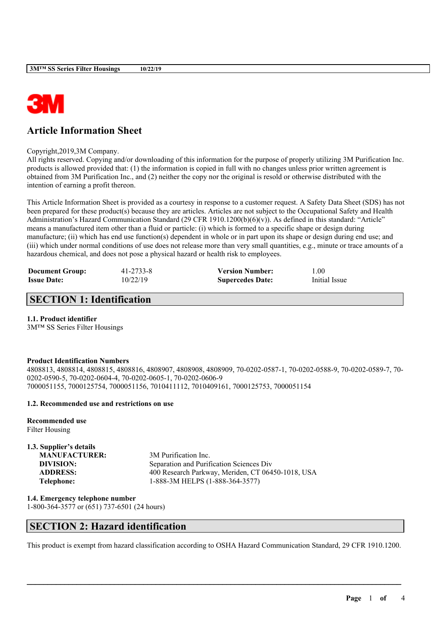

# **Article Information Sheet**

Copyright,2019,3M Company.

All rights reserved. Copying and/or downloading of this information for the purpose of properly utilizing 3M Purification Inc. products is allowed provided that: (1) the information is copied in full with no changes unless prior written agreement is obtained from 3M Purification Inc., and (2) neither the copy nor the original is resold or otherwise distributed with the intention of earning a profit thereon.

This Article Information Sheet is provided as a courtesy in response to a customer request. A Safety Data Sheet (SDS) has not been prepared for these product(s) because they are articles. Articles are not subject to the Occupational Safety and Health Administration's Hazard Communication Standard (29 CFR 1910.1200(b)(6)(v)). As defined in this standard: "Article" means a manufactured item other than a fluid or particle: (i) which is formed to a specific shape or design during manufacture; (ii) which has end use function(s) dependent in whole or in part upon its shape or design during end use; and (iii) which under normal conditions of use does not release more than very small quantities, e.g., minute or trace amounts of a hazardous chemical, and does not pose a physical hazard or health risk to employees.

| <b>Document Group:</b> | 41-2733-8 | <b>Version Number:</b>  | 0.00          |
|------------------------|-----------|-------------------------|---------------|
| <b>Issue Date:</b>     | 10/22/19  | <b>Supercedes Date:</b> | Initial Issue |

# **SECTION 1: Identification**

### **1.1. Product identifier**

3M™ SS Series Filter Housings

### **Product Identification Numbers**

4808813, 4808814, 4808815, 4808816, 4808907, 4808908, 4808909, 70-0202-0587-1, 70-0202-0588-9, 70-0202-0589-7, 70- 0202-0590-5, 70-0202-0604-4, 70-0202-0605-1, 70-0202-0606-9 7000051155, 7000125754, 7000051156, 7010411112, 7010409161, 7000125753, 7000051154

### **1.2. Recommended use and restrictions on use**

**Recommended use** Filter Housing

### **1.3. Supplier's details**

**MANUFACTURER:** 3M Purification Inc. **DIVISION:** Separation and Purification Sciences Div **ADDRESS:** 400 Research Parkway, Meriden, CT 06450-1018, USA **Telephone:** 1-888-3M HELPS (1-888-364-3577)

**1.4. Emergency telephone number** 1-800-364-3577 or (651) 737-6501 (24 hours)

### **SECTION 2: Hazard identification**

This product is exempt from hazard classification according to OSHA Hazard Communication Standard, 29 CFR 1910.1200.

 $\mathcal{L}_\mathcal{L} = \mathcal{L}_\mathcal{L} = \mathcal{L}_\mathcal{L} = \mathcal{L}_\mathcal{L} = \mathcal{L}_\mathcal{L} = \mathcal{L}_\mathcal{L} = \mathcal{L}_\mathcal{L} = \mathcal{L}_\mathcal{L} = \mathcal{L}_\mathcal{L} = \mathcal{L}_\mathcal{L} = \mathcal{L}_\mathcal{L} = \mathcal{L}_\mathcal{L} = \mathcal{L}_\mathcal{L} = \mathcal{L}_\mathcal{L} = \mathcal{L}_\mathcal{L} = \mathcal{L}_\mathcal{L} = \mathcal{L}_\mathcal{L}$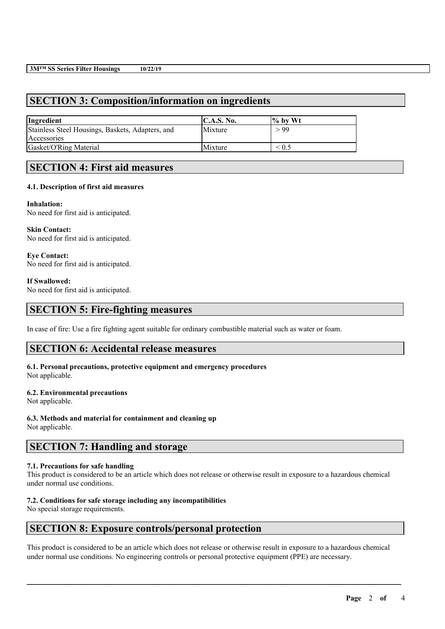# **SECTION 3: Composition/information on ingredients**

| Ingredient                                       | C.A.S. No. | $\frac{9}{6}$ by Wt |
|--------------------------------------------------|------------|---------------------|
| Stainless Steel Housings, Baskets, Adapters, and | Mixture    | > 99                |
| Accessories                                      |            |                     |
| Gasket/O'Ring Material                           | Mixture    | $\leq 0.5$          |

### **SECTION 4: First aid measures**

### **4.1. Description of first aid measures**

### **Inhalation:**

No need for first aid is anticipated.

**Skin Contact:** No need for first aid is anticipated.

**Eye Contact:** No need for first aid is anticipated.

#### **If Swallowed:**

No need for first aid is anticipated.

### **SECTION 5: Fire-fighting measures**

In case of fire: Use a fire fighting agent suitable for ordinary combustible material such as water or foam.

### **SECTION 6: Accidental release measures**

**6.1. Personal precautions, protective equipment and emergency procedures** Not applicable.

# **6.2. Environmental precautions**

Not applicable.

**6.3. Methods and material for containment and cleaning up** Not applicable.

# **SECTION 7: Handling and storage**

### **7.1. Precautions for safe handling**

This product is considered to be an article which does not release or otherwise result in exposure to a hazardous chemical under normal use conditions.

### **7.2. Conditions for safe storage including any incompatibilities**

No special storage requirements.

### **SECTION 8: Exposure controls/personal protection**

This product is considered to be an article which does not release or otherwise result in exposure to a hazardous chemical under normal use conditions. No engineering controls or personal protective equipment (PPE) are necessary.

 $\mathcal{L}_\mathcal{L} = \mathcal{L}_\mathcal{L} = \mathcal{L}_\mathcal{L} = \mathcal{L}_\mathcal{L} = \mathcal{L}_\mathcal{L} = \mathcal{L}_\mathcal{L} = \mathcal{L}_\mathcal{L} = \mathcal{L}_\mathcal{L} = \mathcal{L}_\mathcal{L} = \mathcal{L}_\mathcal{L} = \mathcal{L}_\mathcal{L} = \mathcal{L}_\mathcal{L} = \mathcal{L}_\mathcal{L} = \mathcal{L}_\mathcal{L} = \mathcal{L}_\mathcal{L} = \mathcal{L}_\mathcal{L} = \mathcal{L}_\mathcal{L}$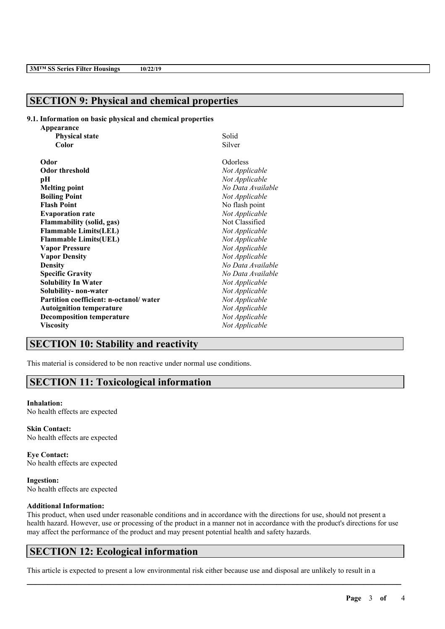# **SECTION 9: Physical and chemical properties**

#### **9.1. Information on basic physical and chemical properties**

| Appearance                             |                   |
|----------------------------------------|-------------------|
| <b>Physical state</b>                  | Solid             |
| Color                                  | Silver            |
| Odor                                   | Odorless          |
| <b>Odor threshold</b>                  | Not Applicable    |
| pН                                     | Not Applicable    |
| <b>Melting point</b>                   | No Data Available |
| <b>Boiling Point</b>                   | Not Applicable    |
| <b>Flash Point</b>                     | No flash point    |
| <b>Evaporation rate</b>                | Not Applicable    |
| <b>Flammability (solid, gas)</b>       | Not Classified    |
| <b>Flammable Limits(LEL)</b>           | Not Applicable    |
| <b>Flammable Limits(UEL)</b>           | Not Applicable    |
| <b>Vapor Pressure</b>                  | Not Applicable    |
| <b>Vapor Density</b>                   | Not Applicable    |
| <b>Density</b>                         | No Data Available |
| <b>Specific Gravity</b>                | No Data Available |
| <b>Solubility In Water</b>             | Not Applicable    |
| Solubility- non-water                  | Not Applicable    |
| Partition coefficient: n-octanol/water | Not Applicable    |
| <b>Autoignition temperature</b>        | Not Applicable    |
| <b>Decomposition temperature</b>       | Not Applicable    |
| <b>Viscosity</b>                       | Not Applicable    |

# **SECTION 10: Stability and reactivity**

This material is considered to be non reactive under normal use conditions.

### **SECTION 11: Toxicological information**

#### **Inhalation:**

No health effects are expected

**Skin Contact:** No health effects are expected

**Eye Contact:** No health effects are expected

**Ingestion:** No health effects are expected

### **Additional Information:**

This product, when used under reasonable conditions and in accordance with the directions for use, should not present a health hazard. However, use or processing of the product in a manner not in accordance with the product's directions for use may affect the performance of the product and may present potential health and safety hazards.

 $\mathcal{L}_\mathcal{L} = \mathcal{L}_\mathcal{L} = \mathcal{L}_\mathcal{L} = \mathcal{L}_\mathcal{L} = \mathcal{L}_\mathcal{L} = \mathcal{L}_\mathcal{L} = \mathcal{L}_\mathcal{L} = \mathcal{L}_\mathcal{L} = \mathcal{L}_\mathcal{L} = \mathcal{L}_\mathcal{L} = \mathcal{L}_\mathcal{L} = \mathcal{L}_\mathcal{L} = \mathcal{L}_\mathcal{L} = \mathcal{L}_\mathcal{L} = \mathcal{L}_\mathcal{L} = \mathcal{L}_\mathcal{L} = \mathcal{L}_\mathcal{L}$ 

### **SECTION 12: Ecological information**

This article is expected to present a low environmental risk either because use and disposal are unlikely to result in a